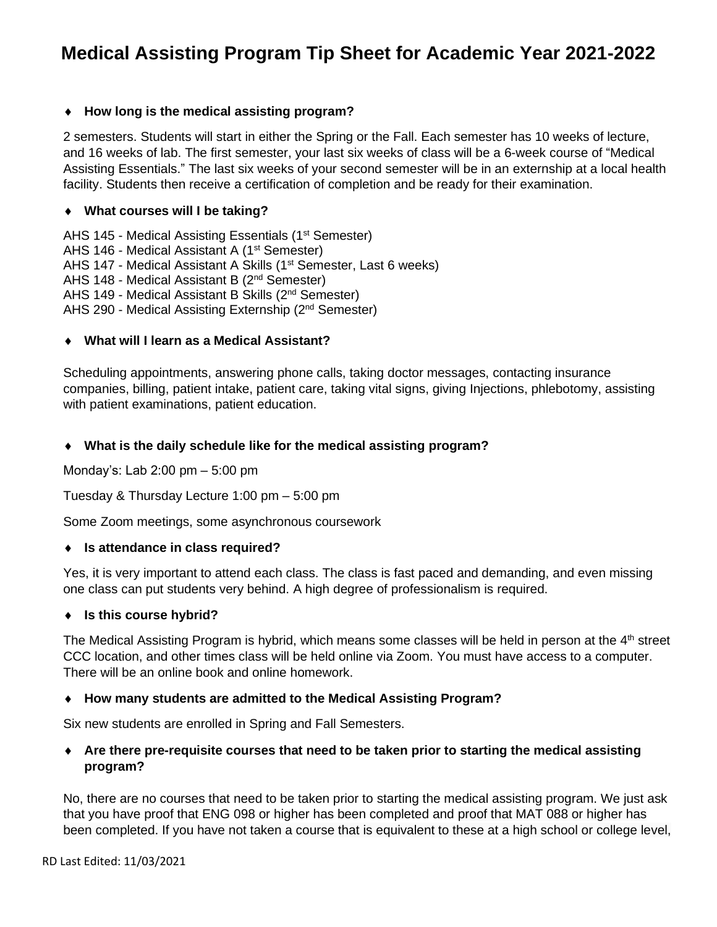# **Medical Assisting Program Tip Sheet for Academic Year 2021-2022**

## **How long is the medical assisting program?**

2 semesters. Students will start in either the Spring or the Fall. Each semester has 10 weeks of lecture, and 16 weeks of lab. The first semester, your last six weeks of class will be a 6-week course of "Medical Assisting Essentials." The last six weeks of your second semester will be in an externship at a local health facility. Students then receive a certification of completion and be ready for their examination.

#### **What courses will I be taking?**

AHS 145 - Medical Assisting Essentials (1<sup>st</sup> Semester) AHS 146 - Medical Assistant A (1<sup>st</sup> Semester) AHS 147 - Medical Assistant A Skills (1<sup>st</sup> Semester, Last 6 weeks) AHS 148 - Medical Assistant B (2<sup>nd</sup> Semester) AHS 149 - Medical Assistant B Skills (2nd Semester) AHS 290 - Medical Assisting Externship (2nd Semester)

#### **What will I learn as a Medical Assistant?**

Scheduling appointments, answering phone calls, taking doctor messages, contacting insurance companies, billing, patient intake, patient care, taking vital signs, giving Injections, phlebotomy, assisting with patient examinations, patient education.

#### **What is the daily schedule like for the medical assisting program?**

Monday's: Lab 2:00 pm – 5:00 pm

Tuesday & Thursday Lecture 1:00 pm – 5:00 pm

Some Zoom meetings, some asynchronous coursework

#### **Is attendance in class required?**

Yes, it is very important to attend each class. The class is fast paced and demanding, and even missing one class can put students very behind. A high degree of professionalism is required.

#### **Is this course hybrid?**

The Medical Assisting Program is hybrid, which means some classes will be held in person at the 4<sup>th</sup> street CCC location, and other times class will be held online via Zoom. You must have access to a computer. There will be an online book and online homework.

#### **How many students are admitted to the Medical Assisting Program?**

Six new students are enrolled in Spring and Fall Semesters.

### **Are there pre-requisite courses that need to be taken prior to starting the medical assisting program?**

No, there are no courses that need to be taken prior to starting the medical assisting program. We just ask that you have proof that ENG 098 or higher has been completed and proof that MAT 088 or higher has been completed. If you have not taken a course that is equivalent to these at a high school or college level,